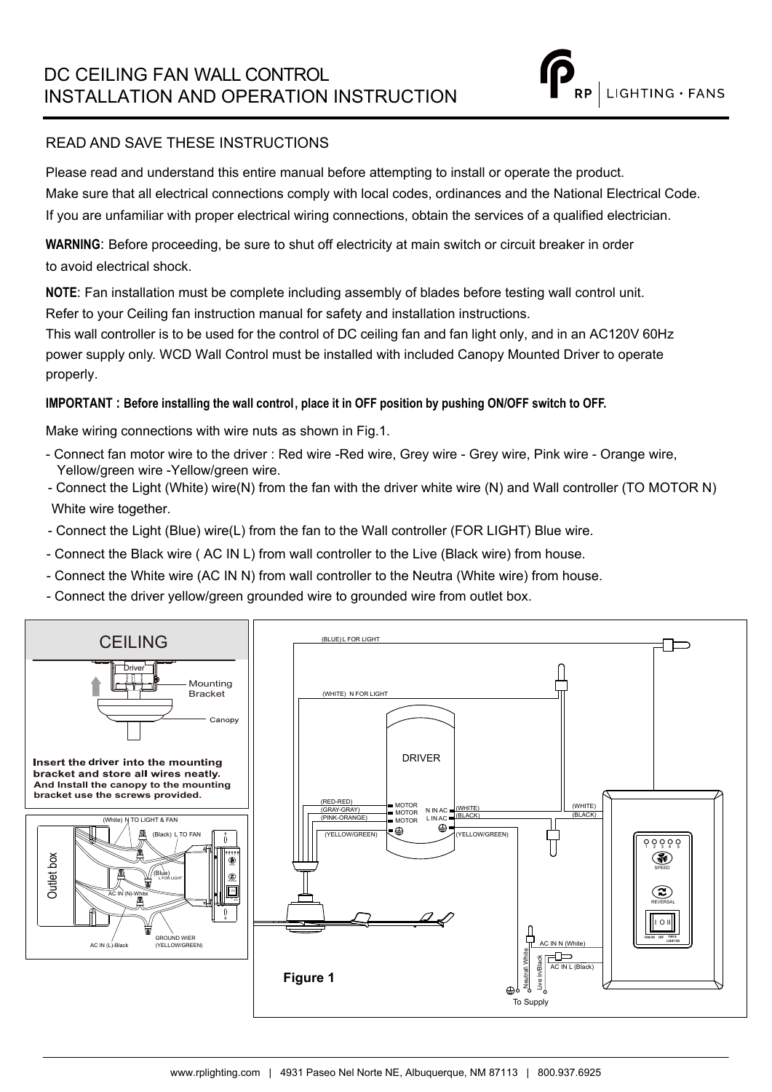### READ AND SAVE THESE INSTRUCTIONS

Please read and understand this entire manual before attempting to install or operate the product. Make sure that all electrical connections comply with local codes, ordinances and the National Electrical Code. If you are unfamiliar with proper electrical wiring connections, obtain the services of a qualified electrician.

**WARNING**: Before proceeding, be sure to shut off electricity at main switch or circuit breaker in order to avoid electrical shock.

**NOTE**: Fan installation must be complete including assembly of blades before testing wall control unit. Refer to your Ceiling fan instruction manual for safety and installation instructions.

This wall controller is to be used for the control of DC ceiling fan and fan light only, and in an AC120V 60Hz power supply only. WCD Wall Control must be installed with included Canopy Mounted Driver to operate properly.

### **IMPORTANT : Before installing the wall control, place it in OFF position by pushing ON/OFF switch to OFF.**

Make wiring connections with wire nuts as shown in Fig.1.

- Connect fan motor wire to the driver : Red wire -Red wire, Grey wire Grey wire, Pink wire Orange wire, Yellow/green wire -Yellow/green wire.
- Connect the Light (White) wire(N) from the fan with the driver white wire (N) and Wall controller (TO MOTOR N) White wire together.
- Connect the Light (Blue) wire(L) from the fan to the Wall controller (FOR LIGHT) Blue wire.
- Connect the Black wire ( AC IN L) from wall controller to the Live (Black wire) from house.
- Connect the White wire (AC IN N) from wall controller to the Neutra (White wire) from house.
- Connect the driver yellow/green grounded wire to grounded wire from outlet box.